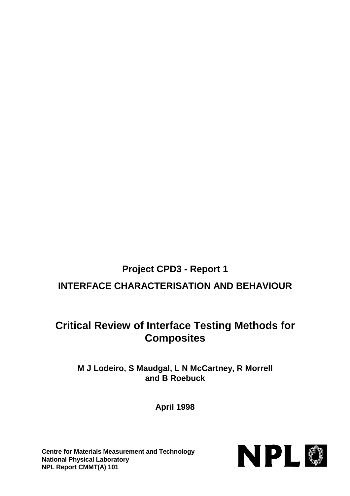## **Project CPD3 - Report 1 INTERFACE CHARACTERISATION AND BEHAVIOUR**

# **Critical Review of Interface Testing Methods for Composites**

**M J Lodeiro, S Maudgal, L N McCartney, R Morrell and B Roebuck**

**April 1998**

**Centre for Materials Measurement and Technology National Physical Laboratory NPL Report CMMT(A) 101**

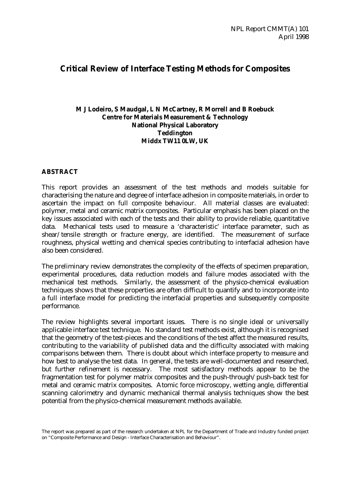## **Critical Review of Interface Testing Methods for Composites**

#### **M J Lodeiro, S Maudgal, L N McCartney, R Morrell and B Roebuck Centre for Materials Measurement & Technology National Physical Laboratory Teddington Middx TW11 0LW, UK**

## **ABSTRACT**

This report provides an assessment of the test methods and models suitable for characterising the nature and degree of interface adhesion in composite materials, in order to ascertain the impact on full composite behaviour. All material classes are evaluated: polymer, metal and ceramic matrix composites. Particular emphasis has been placed on the key issues associated with each of the tests and their ability to provide reliable, quantitative data. Mechanical tests used to measure a 'characteristic' interface parameter, such as shear/tensile strength or fracture energy, are identified. The measurement of surface roughness, physical wetting and chemical species contributing to interfacial adhesion have also been considered.

The preliminary review demonstrates the complexity of the effects of specimen preparation, experimental procedures, data reduction models and failure modes associated with the mechanical test methods. Similarly, the assessment of the physico-chemical evaluation techniques shows that these properties are often difficult to quantify and to incorporate into a full interface model for predicting the interfacial properties and subsequently composite performance.

The review highlights several important issues. There is no single ideal or universally applicable interface test technique. No standard test methods exist, although it is recognised that the geometry of the test-pieces and the conditions of the test affect the measured results, contributing to the variability of published data and the difficulty associated with making comparisons between them. There is doubt about which interface property to measure and how best to analyse the test data. In general, the tests are well-documented and researched, but further refinement is necessary. The most satisfactory methods appear to be the fragmentation test for polymer matrix composites and the push-through/push-back test for metal and ceramic matrix composites. Atomic force microscopy, wetting angle, differential scanning calorimetry and dynamic mechanical thermal analysis techniques show the best potential from the physico-chemical measurement methods available.

The report was prepared as part of the research undertaken at NPL for the Department of Trade and Industry funded project on "Composite Performance and Design - Interface Characterisation and Behaviour".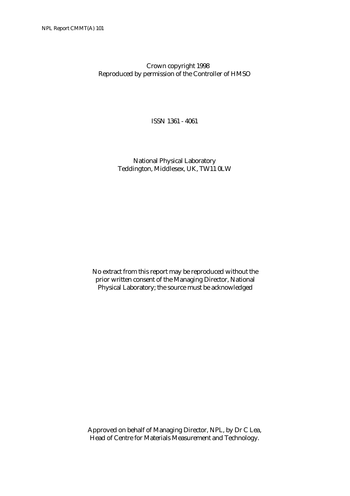Crown copyright 1998 Reproduced by permission of the Controller of HMSO

ISSN 1361 - 4061

 National Physical Laboratory Teddington, Middlesex, UK, TW11 0LW

No extract from this report may be reproduced without the prior written consent of the Managing Director, National Physical Laboratory; the source must be acknowledged

 Approved on behalf of Managing Director, NPL, by Dr C Lea, Head of Centre for Materials Measurement and Technology.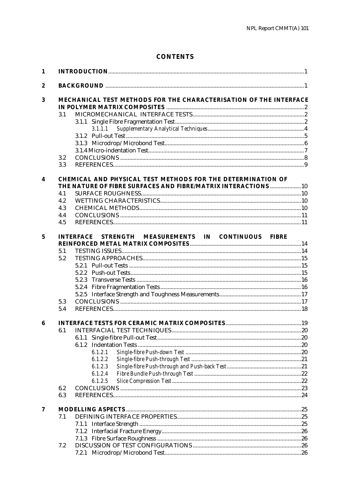## **CONTENTS**

| 1                       |            |                                                                   |  |
|-------------------------|------------|-------------------------------------------------------------------|--|
| $\boldsymbol{2}$        |            |                                                                   |  |
| $\bf{3}$                |            | MECHANICAL TEST METHODS FOR THE CHARACTERISATION OF THE INTERFACE |  |
|                         |            |                                                                   |  |
|                         | 3.1        |                                                                   |  |
|                         |            |                                                                   |  |
|                         |            | 3.1.1.1                                                           |  |
|                         |            |                                                                   |  |
|                         |            |                                                                   |  |
|                         |            |                                                                   |  |
|                         | 3.2        |                                                                   |  |
|                         | 3.3        |                                                                   |  |
| $\overline{\mathbf{4}}$ |            | CHEMICAL AND PHYSICAL TEST METHODS FOR THE DETERMINATION OF       |  |
|                         |            | THE NATURE OF FIBRE SURFACES AND FIBRE/MATRIX INTERACTIONS 10     |  |
|                         | 4.1        |                                                                   |  |
|                         | 4.2        |                                                                   |  |
|                         | 4.3        |                                                                   |  |
|                         | 4.4        |                                                                   |  |
|                         | 4.5        |                                                                   |  |
| $\mathbf 5$             |            | STRENGTH MEASUREMENTS IN CONTINUOUS FIBRE<br><b>INTERFACE</b>     |  |
|                         |            |                                                                   |  |
|                         | 5.1        |                                                                   |  |
|                         | 5.2        |                                                                   |  |
|                         |            |                                                                   |  |
|                         |            |                                                                   |  |
|                         |            |                                                                   |  |
|                         |            |                                                                   |  |
|                         |            |                                                                   |  |
|                         | 5.3        |                                                                   |  |
|                         | 5.4        |                                                                   |  |
| 6                       |            |                                                                   |  |
|                         |            |                                                                   |  |
|                         |            |                                                                   |  |
|                         |            |                                                                   |  |
|                         |            | 6.1.2.1                                                           |  |
|                         |            | 6.1.2.2                                                           |  |
|                         |            | 6.1.2.3                                                           |  |
|                         |            | 6.1.2.4                                                           |  |
|                         |            | 6.1.2.5                                                           |  |
|                         | 6.2<br>6.3 |                                                                   |  |
|                         |            |                                                                   |  |
| 7                       |            |                                                                   |  |
|                         | 7.1        |                                                                   |  |
|                         |            | 7.1.1                                                             |  |
|                         |            |                                                                   |  |
|                         |            |                                                                   |  |
|                         | 7.2        |                                                                   |  |
|                         |            |                                                                   |  |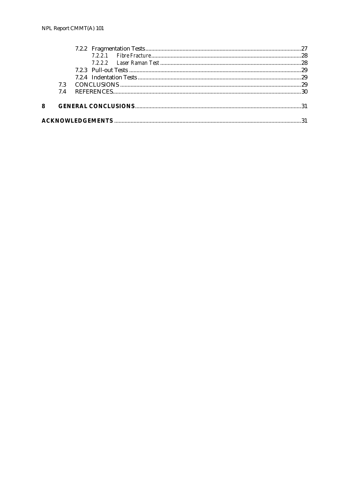|   | 73 |  |  |  |  |  |  |
|---|----|--|--|--|--|--|--|
|   | 74 |  |  |  |  |  |  |
|   |    |  |  |  |  |  |  |
| 8 |    |  |  |  |  |  |  |
|   |    |  |  |  |  |  |  |
|   |    |  |  |  |  |  |  |
|   |    |  |  |  |  |  |  |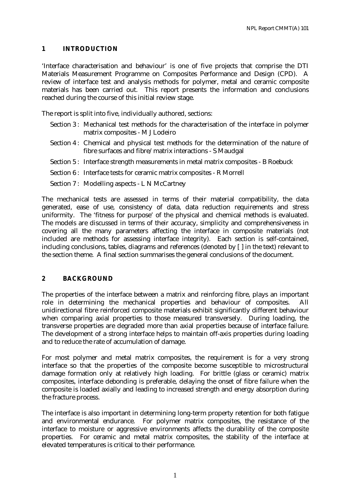## **1 INTRODUCTION**

'Interface characterisation and behaviour' is one of five projects that comprise the DTI Materials Measurement Programme on Composites Performance and Design (CPD). A review of interface test and analysis methods for polymer, metal and ceramic composite materials has been carried out. This report presents the information and conclusions reached during the course of this initial review stage.

The report is split into five, individually authored, sections:

- Section 3 : Mechanical test methods for the characterisation of the interface in polymer matrix composites - M J Lodeiro
- Section 4 : Chemical and physical test methods for the determination of the nature of fibre surfaces and fibre/matrix interactions - S Maudgal
- Section 5 : Interface strength measurements in metal matrix composites B Roebuck
- Section 6 : Interface tests for ceramic matrix composites R Morrell
- Section 7 : Modelling aspects L N McCartney

The mechanical tests are assessed in terms of their material compatibility, the data generated, ease of use, consistency of data, data reduction requirements and stress uniformity. The 'fitness for purpose' of the physical and chemical methods is evaluated. The models are discussed in terms of their accuracy, simplicity and comprehensiveness in covering all the many parameters affecting the interface in composite materials (not included are methods for assessing interface integrity). Each section is self-contained, including conclusions, tables, diagrams and references (denoted by [ ] in the text) relevant to the section theme. A final section summarises the general conclusions of the document.

## **2 BACKGROUND**

The properties of the interface between a matrix and reinforcing fibre, plays an important role in determining the mechanical properties and behaviour of composites. unidirectional fibre reinforced composite materials exhibit significantly different behaviour when comparing axial properties to those measured transversely. During loading, the transverse properties are degraded more than axial properties because of interface failure. The development of a strong interface helps to maintain off-axis properties during loading and to reduce the rate of accumulation of damage.

For most polymer and metal matrix composites, the requirement is for a very strong interface so that the properties of the composite become susceptible to microstructural damage formation only at relatively high loading. For brittle (glass or ceramic) matrix composites, interface debonding is preferable, delaying the onset of fibre failure when the composite is loaded axially and leading to increased strength and energy absorption during the fracture process.

The interface is also important in determining long-term property retention for both fatigue and environmental endurance. For polymer matrix composites, the resistance of the interface to moisture or aggressive environments affects the durability of the composite properties. For ceramic and metal matrix composites, the stability of the interface at elevated temperatures is critical to their performance.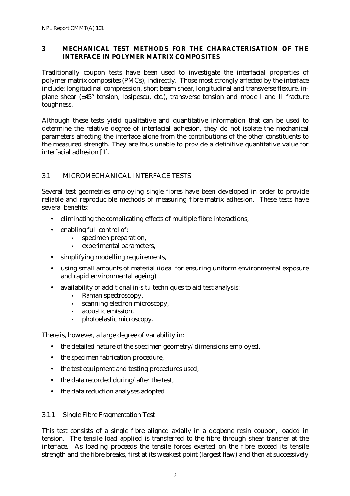## **3 MECHANICAL TEST METHODS FOR THE CHARACTERISATION OF THE INTERFACE IN POLYMER MATRIX COMPOSITES**

Traditionally coupon tests have been used to investigate the interfacial properties of polymer matrix composites (PMCs), indirectly. Those most strongly affected by the interface include: longitudinal compression, short beam shear, longitudinal and transverse flexure, inplane shear (±45° tension, Iosipescu, etc.), transverse tension and mode I and II fracture toughness.

Although these tests yield qualitative and quantitative information that can be used to determine the relative degree of interfacial adhesion, they do not isolate the mechanical parameters affecting the interface alone from the contributions of the other constituents to the measured strength. They are thus unable to provide a definitive quantitative value for interfacial adhesion [1].

## 3.1 MICROMECHANICAL INTERFACE TESTS

Several test geometries employing single fibres have been developed in order to provide reliable and reproducible methods of measuring fibre-matrix adhesion. These tests have several benefits:

- eliminating the complicating effects of multiple fibre interactions,
- enabling full control of:
	- specimen preparation,
	- experimental parameters,
- simplifying modelling requirements,
- using small amounts of material (ideal for ensuring uniform environmental exposure and rapid environmental ageing),
- availability of additional *in-situ* techniques to aid test analysis:
	- Raman spectroscopy,
	- scanning electron microscopy,
	- acoustic emission,
	- photoelastic microscopy.

There is, however, a large degree of variability in:

- the detailed nature of the specimen geometry/dimensions employed,
- the specimen fabrication procedure,
- the test equipment and testing procedures used,
- the data recorded during/after the test,
- the data reduction analyses adopted.

## 3.1.1 Single Fibre Fragmentation Test

This test consists of a single fibre aligned axially in a dogbone resin coupon, loaded in tension. The tensile load applied is transferred to the fibre through shear transfer at the interface. As loading proceeds the tensile forces exerted on the fibre exceed its tensile strength and the fibre breaks, first at its weakest point (largest flaw) and then at successively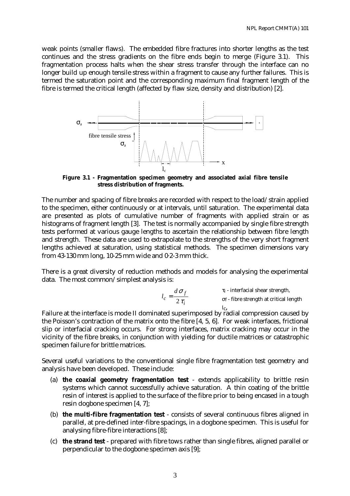weak points (smaller flaws). The embedded fibre fractures into shorter lengths as the test continues and the stress gradients on the fibre ends begin to merge (Figure 3.1). This fragmentation process halts when the shear stress transfer through the interface can no longer build up enough tensile stress within a fragment to cause any further failures. This is termed the saturation point and the corresponding maximum final fragment length of the fibre is termed the critical length (affected by flaw size, density and distribution) [2].



**Figure 3.1 - Fragmentation specimen geometry and associated axial fibre tensile stress distribution of fragments.** 

The number and spacing of fibre breaks are recorded with respect to the load/strain applied to the specimen, either continuously or at intervals, until saturation. The experimental data are presented as plots of cumulative number of fragments with applied strain or as histograms of fragment length [3]. The test is normally accompanied by single fibre strength tests performed at various gauge lengths to ascertain the relationship between fibre length and strength. These data are used to extrapolate to the strengths of the very short fragment lengths achieved at saturation, using statistical methods. The specimen dimensions vary from 43-130 mm long, 10-25 mm wide and 0⋅2-3 mm thick.

There is a great diversity of reduction methods and models for analysing the experimental data. The most common/simplest analysis is:

$$
l_c = \frac{d \sigma_f}{2 \tau_i}
$$
 
$$
\tau_i
$$
-interfacial shear strength, 
$$
\sigma_f
$$
- fibre strength at critical length

Failure at the interface is mode II dominated superimposed by radial compression caused by the Poisson's contraction of the matrix onto the fibre [4, 5, 6]. For weak interfaces, frictional slip or interfacial cracking occurs. For strong interfaces, matrix cracking may occur in the vicinity of the fibre breaks, in conjunction with yielding for ductile matrices or catastrophic specimen failure for brittle matrices.

Several useful variations to the conventional single fibre fragmentation test geometry and analysis have been developed. These include:

- (a) **the coaxial geometry fragmentation test** extends applicability to brittle resin systems which cannot successfully achieve saturation. A thin coating of the brittle resin of interest is applied to the surface of the fibre prior to being encased in a tough resin dogbone specimen [4, 7];
- (b) **the multi-fibre fragmentation test** consists of several continuous fibres aligned in parallel, at pre-defined inter-fibre spacings, in a dogbone specimen. This is useful for analysing fibre-fibre interactions [8];
- (c) **the strand test** prepared with fibre tows rather than single fibres, aligned parallel or perpendicular to the dogbone specimen axis [9];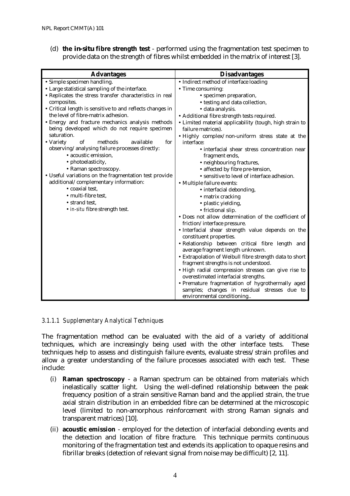(d) **the** *in-situ* **fibre strength test** - performed using the fragmentation test specimen to provide data on the strength of fibres whilst embedded in the matrix of interest [3].

| <b>Advantages</b>                                         | <b>Disadvantages</b>                                                                         |
|-----------------------------------------------------------|----------------------------------------------------------------------------------------------|
| · Simple specimen handling.                               | • Indirect method of interface loading                                                       |
| • Large statistical sampling of the interface.            | • Time consuming:                                                                            |
| • Replicates the stress transfer characteristics in real  | • specimen preparation,                                                                      |
| composites.                                               | • testing and data collection,                                                               |
| • Critical length is sensitive to and reflects changes in | · data analysis.                                                                             |
| the level of fibre-matrix adhesion.                       | · Additional fibre strength tests required.                                                  |
| · Energy and fracture mechanics analysis methods          | • Limited material applicability (tough, high strain to                                      |
| being developed which do not require specimen             | failure matrices).                                                                           |
| saturation.                                               | . Highly complex/non-uniform stress state at the                                             |
| methods<br>• Variety<br>of<br>available<br>for            | interface:                                                                                   |
| observing/analysing failure processes directly:           | • interfacial shear stress concentration near                                                |
| • acoustic emission.                                      | fragment ends,                                                                               |
| · photoelasticity,                                        | • neighbouring fractures,                                                                    |
| • Raman spectroscopy.                                     | • affected by fibre pre-tension,                                                             |
| • Useful variations on the fragmentation test provide     | · sensitive to level of interface adhesion.                                                  |
| additional/complementary information:                     | · Multiple failure events:                                                                   |
| • coaxial test,                                           | • interfacial debonding,                                                                     |
| • multi-fibre test,                                       | • matrix cracking                                                                            |
| • strand test.                                            | · plastic yielding,                                                                          |
| · in-situ fibre strength test.                            | • frictional slip.                                                                           |
|                                                           | • Does not allow determination of the coefficient of                                         |
|                                                           | friction/interface pressure.                                                                 |
|                                                           | · Interfacial shear strength value depends on the                                            |
|                                                           | constituent properties.                                                                      |
|                                                           | · Relationship between critical fibre length and                                             |
|                                                           | average fragment length unknown.                                                             |
|                                                           | • Extrapolation of Weibull fibre strength data to short                                      |
|                                                           | fragment strengths is not understood.<br>· High radial compression stresses can give rise to |
|                                                           | overestimated interfacial strengths.                                                         |
|                                                           | • Premature fragmentation of hygrothermally aged                                             |
|                                                           | samples; changes in residual stresses due to                                                 |
|                                                           | environmental conditioning                                                                   |
|                                                           |                                                                                              |

#### *3.1.1.1 Supplementary Analytical Techniques*

The fragmentation method can be evaluated with the aid of a variety of additional techniques, which are increasingly being used with the other interface tests. These techniques help to assess and distinguish failure events, evaluate stress/strain profiles and allow a greater understanding of the failure processes associated with each test. These include:

- (i) **Raman spectroscopy** a Raman spectrum can be obtained from materials which inelastically scatter light. Using the well-defined relationship between the peak frequency position of a strain sensitive Raman band and the applied strain, the true axial strain distribution in an embedded fibre can be determined at the microscopic level (limited to non-amorphous reinforcement with strong Raman signals and transparent matrices) [10].
- (ii) **acoustic emission** employed for the detection of interfacial debonding events and the detection and location of fibre fracture. This technique permits continuous monitoring of the fragmentation test and extends its application to opaque resins and fibrillar breaks (detection of relevant signal from noise may be difficult) [2, 11].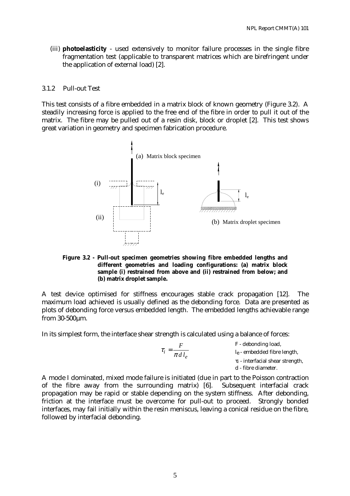(iii) **photoelasticity** - used extensively to monitor failure processes in the single fibre fragmentation test (applicable to transparent matrices which are birefringent under the application of external load) [2].

#### 3.1.2 Pull-out Test

This test consists of a fibre embedded in a matrix block of known geometry (Figure 3.2). A steadily increasing force is applied to the free end of the fibre in order to pull it out of the matrix. The fibre may be pulled out of a resin disk, block or droplet [2]. This test shows great variation in geometry and specimen fabrication procedure.



#### **Figure 3.2 - Pull-out specimen geometries showing fibre embedded lengths and different geometries and loading configurations: (a) matrix block sample (i) restrained from above and (ii) restrained from below; and (b) matrix droplet sample.**

A test device optimised for stiffness encourages stable crack propagation [12]. The maximum load achieved is usually defined as the debonding force. Data are presented as plots of debonding force versus embedded length. The embedded lengths achievable range from  $30-500 \mu m$ .

In its simplest form, the interface shear strength is calculated using a balance of forces:

$$
\tau_i = \frac{F}{\pi d l_e}
$$
\n
$$
\tau_i = \frac{F}{\pi d l_e}
$$
\n
$$
\tau_i - \text{interfacial shear strength},
$$
\n
$$
\tau_i - \text{interfacial shear strength}
$$

τi - interfacial shear strength,

d - fibre diameter.

A mode I dominated, mixed mode failure is initiated (due in part to the Poisson contraction of the fibre away from the surrounding matrix) [6]. Subsequent interfacial crack propagation may be rapid or stable depending on the system stiffness. After debonding, friction at the interface must be overcome for pull-out to proceed. Strongly bonded interfaces, may fail initially within the resin meniscus, leaving a conical residue on the fibre, followed by interfacial debonding.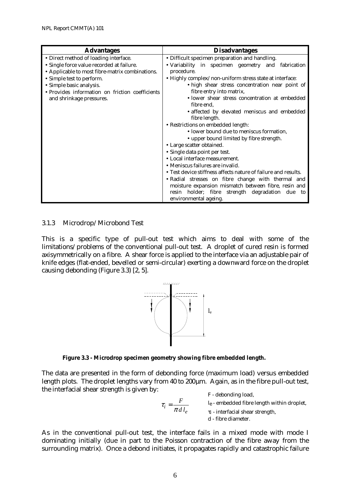| <b>Advantages</b>                               | <b>Disadvantages</b>                                                           |
|-------------------------------------------------|--------------------------------------------------------------------------------|
| • Direct method of loading interface.           | • Difficult specimen preparation and handling.                                 |
| · Single force value recorded at failure.       | • Variability in specimen geometry and fabrication                             |
| • Applicable to most fibre-matrix combinations. | procedure.                                                                     |
| • Simple test to perform.                       | • Highly complex/non-uniform stress state at interface:                        |
| • Simple basic analysis.                        | • high shear stress concentration near point of                                |
| · Provides information on friction coefficients | fibre entry into matrix,                                                       |
| and shrinkage pressures.                        | · lower shear stress concentration at embedded<br>fibre end,                   |
|                                                 | • affected by elevated meniscus and embedded<br>fibre length.                  |
|                                                 | • Restrictions on embedded length:                                             |
|                                                 | • lower bound due to meniscus formation,                                       |
|                                                 | • upper bound limited by fibre strength.                                       |
|                                                 | • Large scatter obtained.                                                      |
|                                                 | • Single data point per test.                                                  |
|                                                 | • Local interface measurement.                                                 |
|                                                 | • Meniscus failures are invalid.                                               |
|                                                 | • Test device stiffness affects nature of failure and results.                 |
|                                                 | · Radial stresses on fibre change with thermal and                             |
|                                                 | moisture expansion mismatch between fibre, resin and                           |
|                                                 | holder; fibre strength degradation due<br>resin<br>to<br>environmental ageing. |

3.1.3 Microdrop/Microbond Test

This is a specific type of pull-out test which aims to deal with some of the limitations/problems of the conventional pull-out test. A droplet of cured resin is formed axisymmetrically on a fibre. A shear force is applied to the interface via an adjustable pair of knife edges (flat-ended, bevelled or semi-circular) exerting a downward force on the droplet causing debonding (Figure 3.3) [2, 5].



#### **Figure 3.3 - Microdrop specimen geometry showing fibre embedded length.**

The data are presented in the form of debonding force (maximum load) versus embedded length plots. The droplet lengths vary from 40 to 200 $\mu$ m. Again, as in the fibre pull-out test, the interfacial shear strength is given by:

$$
\tau_i = \frac{F}{\pi d l_e}
$$
\n
$$
\tau_i = \frac{F}{\pi d l_e}
$$
\n
$$
T_i - \text{interfacial shear strength,}
$$
\n
$$
T_i - \text{interfacial shear strength,}
$$
\n
$$
T_i - \text{interfacial shear strength,}
$$

As in the conventional pull-out test, the interface fails in a mixed mode with mode I dominating initially (due in part to the Poisson contraction of the fibre away from the surrounding matrix). Once a debond initiates, it propagates rapidly and catastrophic failure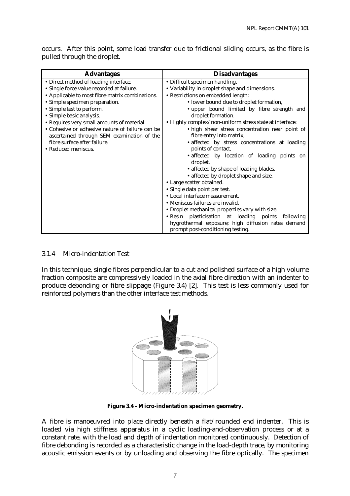occurs. After this point, some load transfer due to frictional sliding occurs, as the fibre is pulled through the droplet.

| <b>Advantages</b>                               | <b>Disadvantages</b>                                    |
|-------------------------------------------------|---------------------------------------------------------|
| • Direct method of loading interface.           | • Difficult specimen handling.                          |
| • Single force value recorded at failure.       | • Variability in droplet shape and dimensions.          |
| • Applicable to most fibre-matrix combinations. | • Restrictions on embedded length:                      |
| • Simple specimen preparation.                  | • lower bound due to droplet formation,                 |
| • Simple test to perform.                       | · upper bound limited by fibre strength and             |
| • Simple basic analysis.                        | droplet formation.                                      |
| • Requires very small amounts of material.      | • Highly complex/non-uniform stress state at interface: |
| • Cohesive or adhesive nature of failure can be | · high shear stress concentration near point of         |
| ascertained through SEM examination of the      | fibre entry into matrix,                                |
| fibre surface after failure.                    | • affected by stress concentrations at loading          |
| • Reduced meniscus.                             | points of contact,                                      |
|                                                 | · affected by location of loading points on             |
|                                                 | droplet,                                                |
|                                                 | • affected by shape of loading blades,                  |
|                                                 | • affected by droplet shape and size.                   |
|                                                 | • Large scatter obtained.                               |
|                                                 | • Single data point per test.                           |
|                                                 | • Local interface measurement.                          |
|                                                 | • Meniscus failures are invalid.                        |
|                                                 | • Droplet mechanical properties vary with size.         |
|                                                 | · Resin plasticisation at loading points following      |
|                                                 | hygrothermal exposure; high diffusion rates demand      |
|                                                 | prompt post-conditioning testing.                       |

#### 3.1.4 Micro-indentation Test

In this technique, single fibres perpendicular to a cut and polished surface of a high volume fraction composite are compressively loaded in the axial fibre direction with an indenter to produce debonding or fibre slippage (Figure 3.4) [2]. This test is less commonly used for reinforced polymers than the other interface test methods.



**Figure 3.4 - Micro-indentation specimen geometry.** 

A fibre is manoeuvred into place directly beneath a flat/rounded end indenter. This is loaded via high stiffness apparatus in a cyclic loading-and-observation process or at a constant rate, with the load and depth of indentation monitored continuously. Detection of fibre debonding is recorded as a characteristic change in the load-depth trace, by monitoring acoustic emission events or by unloading and observing the fibre optically. The specimen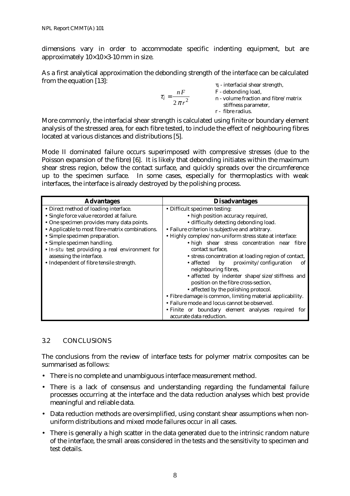dimensions vary in order to accommodate specific indenting equipment, but are approximately  $10 \times 10 \times 3$ -10 mm in size.

As a first analytical approximation the debonding strength of the interface can be calculated from the equation [13]: τi - interfacial shear strength,

|                          | <u>y</u> muchaciai silcai strengui,  |
|--------------------------|--------------------------------------|
| n F                      | F - debonding load,                  |
| $\tau_i =$<br>$2\pi r^2$ | n - volume fraction and fibre/matrix |
|                          | stiffness parameter,                 |
|                          | r - fibre radius.                    |

More commonly, the interfacial shear strength is calculated using finite or boundary element analysis of the stressed area, for each fibre tested, to include the effect of neighbouring fibres located at various distances and distributions [5].

Mode II dominated failure occurs superimposed with compressive stresses (due to the Poisson expansion of the fibre) [6]. It is likely that debonding initiates within the maximum shear stress region, below the contact surface, and quickly spreads over the circumference up to the specimen surface. In some cases, especially for thermoplastics with weak interfaces, the interface is already destroyed by the polishing process.

| <b>Advantages</b>                               | <b>Disadvantages</b>                                       |
|-------------------------------------------------|------------------------------------------------------------|
| • Direct method of loading interface.           | • Difficult specimen testing:                              |
| • Single force value recorded at failure.       | • high position accuracy required,                         |
| • One specimen provides many data points.       | · difficulty detecting debonding load.                     |
| • Applicable to most fibre-matrix combinations. | • Failure criterion is subjective and arbitrary.           |
| • Simple specimen preparation.                  | • Highly complex/non-uniform stress state at interface:    |
| • Simple specimen handling.                     | · high shear stress concentration near fibre               |
| • In-situ test providing a real environment for | contact surface.                                           |
| assessing the interface.                        | • stress concentration at loading region of contact,       |
| • Independent of fibre tensile strength.        | • affected by proximity/configuration<br>0f                |
|                                                 | neighbouring fibres,                                       |
|                                                 | • affected by indenter shape/size/stiffness and            |
|                                                 | position on the fibre cross-section,                       |
|                                                 | • affected by the polishing protocol.                      |
|                                                 | • Fibre damage is common, limiting material applicability. |
|                                                 | • Failure mode and locus cannot be observed.               |
|                                                 | • Finite or boundary element analyses required for         |
|                                                 | accurate data reduction.                                   |

#### 3.2 CONCLUSIONS

The conclusions from the review of interface tests for polymer matrix composites can be summarised as follows:

- There is no complete and unambiguous interface measurement method.
- There is a lack of consensus and understanding regarding the fundamental failure processes occurring at the interface and the data reduction analyses which best provide meaningful and reliable data.
- Data reduction methods are oversimplified, using constant shear assumptions when nonuniform distributions and mixed mode failures occur in all cases.
- There is generally a high scatter in the data generated due to the intrinsic random nature of the interface, the small areas considered in the tests and the sensitivity to specimen and test details.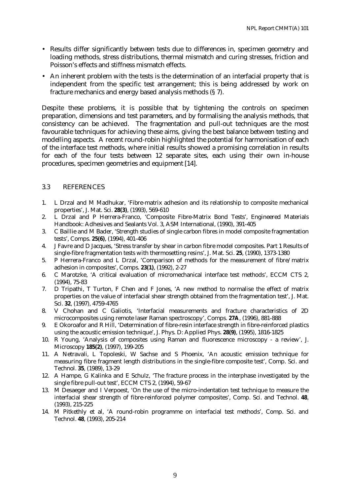- Results differ significantly between tests due to differences in, specimen geometry and loading methods, stress distributions, thermal mismatch and curing stresses, friction and Poisson's effects and stiffness mismatch effects.
- An inherent problem with the tests is the determination of an interfacial property that is independent from the specific test arrangement; this is being addressed by work on fracture mechanics and energy based analysis methods (§ 7).

Despite these problems, it is possible that by tightening the controls on specimen preparation, dimensions and test parameters, and by formalising the analysis methods, that consistency can be achieved. The fragmentation and pull-out techniques are the most favourable techniques for achieving these aims, giving the best balance between testing and modelling aspects. A recent round-robin highlighted the potential for harmonisation of each of the interface test methods, where initial results showed a promising correlation in results for each of the four tests between 12 separate sites, each using their own in-house procedures, specimen geometries and equipment [14].

#### 3.3 REFERENCES

- 1. L Drzal and M Madhukar, 'Fibre-matrix adhesion and its relationship to composite mechanical properties', J. Mat. Sci. **28(3)**, (1993), 569-610
- 2. L Drzal and P Herrera-Franco, 'Composite Fibre-Matrix Bond Tests', Engineered Materials Handbook: Adhesives and Sealants Vol. 3, ASM International, (1990), 391-405
- 3. C Baillie and M Bader, 'Strength studies of single carbon fibres in model composite fragmentation tests', Comps. **25(6)**, (1994), 401-406
- 4. J Favre and D Jacques, 'Stress transfer by shear in carbon fibre model composites. Part 1 Results of single-fibre fragmentation tests with thermosetting resins', J. Mat. Sci. **25**, (1990), 1373-1380
- 5. P Herrera-Franco and L Drzal, 'Comparison of methods for the measurement of fibre/matrix adhesion in composites', Comps. **23(1)**, (1992), 2-27
- 6. C Marotzke, 'A critical evaluation of micromechanical interface test methods', ECCM CTS 2, (1994), 75-83
- 7. D Tripathi, T Turton, F Chen and F Jones, 'A new method to normalise the effect of matrix properties on the value of interfacial shear strength obtained from the fragmentation test', J. Mat. Sci. **32**, (1997), 4759-4765
- 8. V Chohan and C Galiotis, 'Interfacial measurements and fracture characteristics of 2D microcomposites using remote laser Raman spectroscopy', Comps. **27A**, (1996), 881-888
- 9. E Okoroafor and R Hill, 'Determination of fibre-resin interface strength in fibre-reinforced plastics using the acoustic emission technique', J. Phys. D: Applied Phys. **28(9)**, (1995), 1816-1825
- 10. R Young, 'Analysis of composites using Raman and fluorescence microscopy a review', J. Microscopy **185(2)**, (1997), 199-205
- 11. A Netravali, L Topoleski, W Sachse and S Phoenix, 'An acoustic emission technique for measuring fibre fragment length distributions in the single-fibre composite test', Comp. Sci. and Technol. **35**, (1989), 13-29
- 12. A Hampe, G Kalinka and E Schulz, 'The fracture process in the interphase investigated by the single fibre pull-out test', ECCM CTS 2, (1994), 59-67
- 13. M Desaeger and I Verpoest, 'On the use of the micro-indentation test technique to measure the interfacial shear strength of fibre-reinforced polymer composites', Comp. Sci. and Technol. **48**, (1993), 215-225
- 14. M Pitkethly et al, 'A round-robin programme on interfacial test methods', Comp. Sci. and Technol. **48**, (1993), 205-214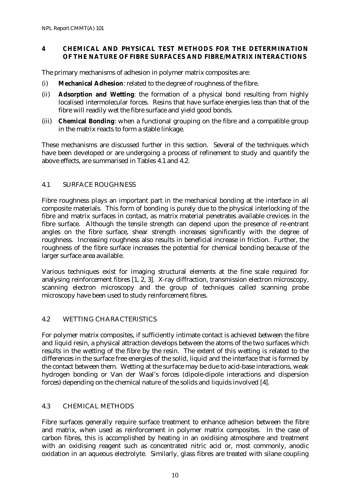## **4 CHEMICAL AND PHYSICAL TEST METHODS FOR THE DETERMINATION OF THE NATURE OF FIBRE SURFACES AND FIBRE/MATRIX INTERACTIONS**

The primary mechanisms of adhesion in polymer matrix composites are:

- (i) **Mechanical Adhesion**: related to the degree of roughness of the fibre.
- (ii) **Adsorption and Wetting**: the formation of a physical bond resulting from highly localised intermolecular forces. Resins that have surface energies less than that of the fibre will readily wet the fibre surface and yield good bonds.
- (iii) **Chemical Bonding**: when a functional grouping on the fibre and a compatible group in the matrix reacts to form a stable linkage.

These mechanisms are discussed further in this section. Several of the techniques which have been developed or are undergoing a process of refinement to study and quantify the above effects, are summarised in Tables 4.1 and 4.2.

## 4.1 SURFACE ROUGHNESS

Fibre roughness plays an important part in the mechanical bonding at the interface in all composite materials. This form of bonding is purely due to the physical interlocking of the fibre and matrix surfaces in contact, as matrix material penetrates available crevices in the fibre surface. Although the tensile strength can depend upon the presence of re-entrant angles on the fibre surface, shear strength increases significantly with the degree of roughness. Increasing roughness also results in beneficial increase in friction. Further, the roughness of the fibre surface increases the potential for chemical bonding because of the larger surface area available.

Various techniques exist for imaging structural elements at the fine scale required for analysing reinforcement fibres [1, 2, 3]. X-ray diffraction, transmission electron microscopy, scanning electron microscopy and the group of techniques called scanning probe microscopy have been used to study reinforcement fibres.

## 4.2 WETTING CHARACTERISTICS

For polymer matrix composites, if sufficiently intimate contact is achieved between the fibre and liquid resin, a physical attraction develops between the atoms of the two surfaces which results in the wetting of the fibre by the resin. The extent of this wetting is related to the differences in the surface free energies of the solid, liquid and the interface that is formed by the contact between them. Wetting at the surface may be due to acid-base interactions, weak hydrogen bonding or Van der Waal's forces (dipole-dipole interactions and dispersion forces) depending on the chemical nature of the solids and liquids involved [4].

## 4.3 CHEMICAL METHODS

Fibre surfaces generally require surface treatment to enhance adhesion between the fibre and matrix, when used as reinforcement in polymer matrix composites. In the case of carbon fibres, this is accomplished by heating in an oxidising atmosphere and treatment with an oxidising reagent such as concentrated nitric acid or, most commonly, anodic oxidation in an aqueous electrolyte. Similarly, glass fibres are treated with silane coupling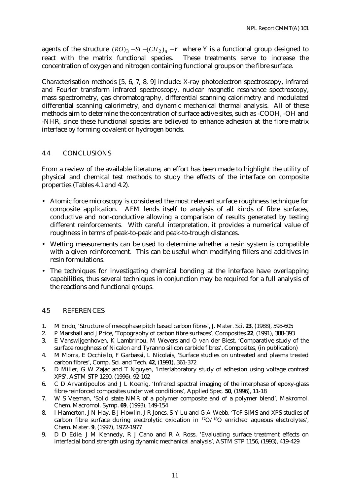agents of the structure  $(RO)_3 - Si - (CH_2)_n - Y$  where Y is a functional group designed to react with the matrix functional species. These treatments serve to increase the concentration of oxygen and nitrogen containing functional groups on the fibre surface.

Characterisation methods [5, 6, 7, 8, 9] include: X-ray photoelectron spectroscopy, infrared and Fourier transform infrared spectroscopy, nuclear magnetic resonance spectroscopy, mass spectrometry, gas chromatography, differential scanning calorimetry and modulated differential scanning calorimetry, and dynamic mechanical thermal analysis. All of these methods aim to determine the concentration of surface active sites, such as -COOH, -OH and -NHR, since these functional species are believed to enhance adhesion at the fibre-matrix interface by forming covalent or hydrogen bonds.

#### 4.4 CONCLUSIONS

From a review of the available literature, an effort has been made to highlight the utility of physical and chemical test methods to study the effects of the interface on composite properties (Tables 4.1 and 4.2).

- Atomic force microscopy is considered the most relevant surface roughness technique for composite application. AFM lends itself to analysis of all kinds of fibre surfaces, conductive and non-conductive allowing a comparison of results generated by testing different reinforcements. With careful interpretation, it provides a numerical value of roughness in terms of peak-to-peak and peak-to-trough distances.
- Wetting measurements can be used to determine whether a resin system is compatible with a given reinforcement. This can be useful when modifying fillers and additives in resin formulations.
- The techniques for investigating chemical bonding at the interface have overlapping capabilities, thus several techniques in conjunction may be required for a full analysis of the reactions and functional groups.

#### 4.5 REFERENCES

- 1. M Endo, 'Structure of mesophase pitch based carbon fibres', J. Mater. Sci. **23**, (1988), 598-605
- 2. P Marshall and J Price, 'Topography of carbon fibre surfaces', Composites **22**, (1991), 388-393
- 3. E Vanswijgenhoven, K Lambrinou, M Wevers and O van der Biest, 'Comparative study of the surface roughness of Nicalon and Tyranno silicon carbide fibres', Composites, (in publication)
- 4. M Morra, E Occhiello, F Garbassi, L Nicolais, 'Surface studies on untreated and plasma treated carbon fibres', Comp. Sci. and Tech. **42**, (1991), 361-372
- 5. D Miller, G W Zajac and T Nguyen, 'Interlaboratory study of adhesion using voltage contrast XPS', ASTM STP 1290, (1996), 92-102
- 6. C D Arvantipoulos and J L Koenig, 'Infrared spectral imaging of the interphase of epoxy-glass fibre-reinforced composites under wet conditions', Applied Spec. **50**, (1996), 11-18
- 7. W S Veeman, 'Solid state NMR of a polymer composite and of a polymer blend', Makromol. Chem. Macromol. Symp. **69**, (1993), 149-154
- 8. I Hamerton, J N Hay, B J Howlin, J R Jones, S-Y Lu and G A Webb, 'ToF SIMS and XPS studies of carbon fibre surface during electrolytic oxidation in 17O/18O enriched aqueous electrolytes', Chem. Mater. **9**, (1997), 1972-1977
- 9. D D Edie, J M Kennedy, R J Cano and R A Ross, 'Evaluating surface treatment effects on interfacial bond strength using dynamic mechanical analysis', ASTM STP 1156, (1993), 419-429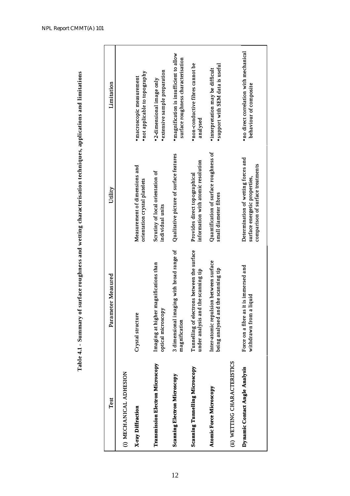| Test                                | Parameter Measured                                                                    | Utility                                                                                                  | Limitation                                                                     |
|-------------------------------------|---------------------------------------------------------------------------------------|----------------------------------------------------------------------------------------------------------|--------------------------------------------------------------------------------|
| (i) MECHANICAL ADHESION             |                                                                                       |                                                                                                          |                                                                                |
| X-ray Diffraction                   | Crystal structure                                                                     | Measurement of dimensions and<br>orientation crystal platelets                                           | · not applicable to topography<br>· macroscopic measurement                    |
| Transmission Electron Microscopy    | magnifications than<br>optical microscopy<br>Imaging at higher                        | Scrutiny of local orientation of<br>individual units                                                     | extensive sample preparation<br>2-dimensional image only                       |
| <b>Scanning Electron Microscopy</b> | 3 dimensional imaging with broad range of<br>magnification                            | Qualitative picture of surface features                                                                  | · magnification is insufficient to allow<br>surface roughness characterisation |
| Scanning Tunnelling Microscopy      | Tunnelling of electrons between the surface<br>the scanning tip<br>under analysis and | information with atomic resolution<br>Provides direct topographical                                      | · non-conductive fibres cannot be<br>analysed                                  |
| Atomic Force Microscopy             | Inter-atomic repulsion between surface<br>being analysed and the scanning tip         | Quantification of surface roughness of<br>small diameter fibres                                          | support with SEM data is useful<br>· interpretation may be difficult           |
| (ii) WETTING CHARACTERISTICS        |                                                                                       |                                                                                                          |                                                                                |
| Dynamic Contact Angle Analysis      | Force on a fibre as it is immersed and<br>withdrawn from a liquid                     | Determination of wetting forces and<br>comparison of surface treatments<br>surface energetic properties, | · no direct correlation with mechanical<br>behaviour of composite              |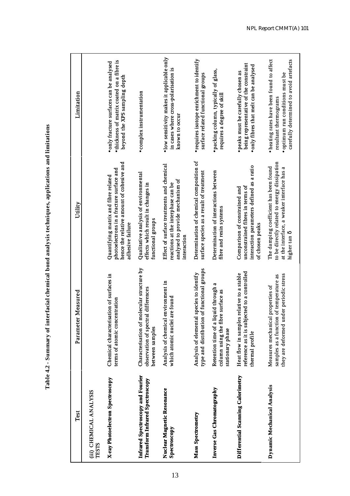| Test                                                                        | Measured<br>Parameter                                                                                                         | Utility                                                                                                                                                     | Limitation                                                                                                                                      |
|-----------------------------------------------------------------------------|-------------------------------------------------------------------------------------------------------------------------------|-------------------------------------------------------------------------------------------------------------------------------------------------------------|-------------------------------------------------------------------------------------------------------------------------------------------------|
| (iii) CHEMICAL ANALYSIS<br>TESTS                                            |                                                                                                                               |                                                                                                                                                             |                                                                                                                                                 |
| <b>X-ray Photoelectron Spectroscopy</b>                                     | Chemical characterisation of surfaces in<br>terms of atomic concentration                                                     | hence the relative amount of cohesive and<br>photoelectrons in a fracture surface and<br>Quantifying matrix and fibre related<br>adhesive failure           | • thickness of matrix coated on a fibre is<br>only fracture surfaces can be analysed<br>beyond the XPS sampling depth                           |
| Infrared Spectroscopy and Fourier<br><b>Transform Infrared Spectroscopy</b> | Characterisation of molecular structure by<br>observation of spectral differences<br>between samples                          | Qualitative analysis of environmental<br>effects which result in changes in<br>functional groups                                                            | · complex instrumentation                                                                                                                       |
| Nuclear Magnetic Resonance<br>Spectroscopy                                  | Analysis of chemical environment in<br>which atomic nuclei are found                                                          | Effect of surface treatments and chemical<br>analysed to provide mechanism of<br>reactions at the interphase can be<br>interaction                          | · low sensitivity makes it applicable only<br>in cases where cross-polarisation is<br>known to occur                                            |
| Mass Spectrometry                                                           | of functional groups<br>species to identify<br>Analysis of elemental<br>type and distribution                                 | Determination of chemical composition of<br>surface species as a result of treatment                                                                        | • requires isotope enrichment to identify<br>surface related functional groups                                                                  |
| Inverse Gas Chromatography                                                  | æ<br>Retention time of a liquid through<br>column using the fibre surface as<br>stationary phase                              | Determination of interactions between<br>fibre and resin systems                                                                                            | · packing column, typically of glass,<br>requires a degree of skill                                                                             |
| Differential Scanning Calorimetry                                           | reference as it is subjected to a controlled<br>relative to a stable<br>Heat flow in samples<br>thermal profile               | interaction parameters defined as a ratio<br>unconstrained fibres in terms of<br>Comparison of constrained and<br>of chosen peaks                           | being representative of the constraint<br>only fibres that melt can be analysed<br>· peaks must be carefully chosen as                          |
| Dynamic Mechanical Analysis                                                 | they are deformed under periodic stress<br>of temperature as<br>properties of<br>samples as a function<br>Measures mechanical | to be directly related to energy dissipation<br>The damping coefficient has been found<br>at the interface, a weaker interface has a<br>higher tan $\delta$ | · heating rates have been found to affect<br>carefully determined to avoid artefacts<br>optimum run conditions must be<br>resultant thermograms |

Table 4.2 - Summary of interfacial chemical bond analysis techniques, applications and limitations **Table 4.2 - Summary of interfacial chemical bond analysis techniques, applications and limitations**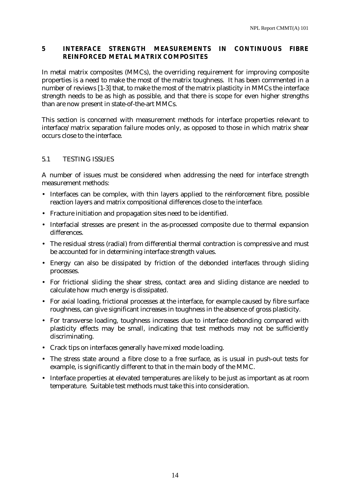## **5 INTERFACE STRENGTH MEASUREMENTS IN CONTINUOUS FIBRE REINFORCED METAL MATRIX COMPOSITES**

In metal matrix composites (MMCs), the overriding requirement for improving composite properties is a need to make the most of the matrix toughness. It has been commented in a number of reviews [1-3] that, to make the most of the matrix plasticity in MMCs the interface strength needs to be as high as possible, and that there is scope for even higher strengths than are now present in state-of-the-art MMCs.

This section is concerned with measurement methods for interface properties relevant to interface/matrix separation failure modes only, as opposed to those in which matrix shear occurs close to the interface.

## 5.1 TESTING ISSUES

A number of issues must be considered when addressing the need for interface strength measurement methods:

- Interfaces can be complex, with thin layers applied to the reinforcement fibre, possible reaction layers and matrix compositional differences close to the interface.
- Fracture initiation and propagation sites need to be identified.
- Interfacial stresses are present in the as-processed composite due to thermal expansion differences.
- The residual stress (radial) from differential thermal contraction is compressive and must be accounted for in determining interface strength values.
- Energy can also be dissipated by friction of the debonded interfaces through sliding processes.
- For frictional sliding the shear stress, contact area and sliding distance are needed to calculate how much energy is dissipated.
- For axial loading, frictional processes at the interface, for example caused by fibre surface roughness, can give significant increases in toughness in the absence of gross plasticity.
- For transverse loading, toughness increases due to interface debonding compared with plasticity effects may be small, indicating that test methods may not be sufficiently discriminating.
- Crack tips on interfaces generally have mixed mode loading.
- The stress state around a fibre close to a free surface, as is usual in push-out tests for example, is significantly different to that in the main body of the MMC.
- Interface properties at elevated temperatures are likely to be just as important as at room temperature. Suitable test methods must take this into consideration.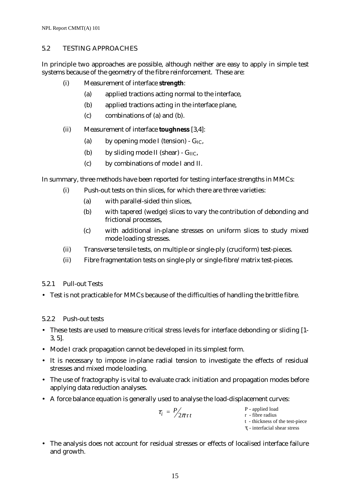#### 5.2 TESTING APPROACHES

In principle two approaches are possible, although neither are easy to apply in simple test systems because of the geometry of the fibre reinforcement. These are:

- (i) Measurement of interface **strength**:
	- (a) applied tractions acting normal to the interface,
	- (b) applied tractions acting in the interface plane,
	- (c) combinations of (a) and (b).
- (ii) Measurement of interface **toughness** [3,4]:
	- (a) by opening mode I (tension)  $G_{IC}$ ,
	- (b) by sliding mode II (shear) G<sub>IIC</sub>,
	- (c) by combinations of mode I and II.

In summary, three methods have been reported for testing interface strengths in MMCs:

- (i) Push-out tests on thin slices, for which there are three varieties:
	- (a) with parallel-sided thin slices,
	- (b) with tapered (wedge) slices to vary the contribution of debonding and frictional processes,
	- (c) with additional in-plane stresses on uniform slices to study mixed mode loading stresses.
- (ii) Transverse tensile tests, on multiple or single-ply (cruciform) test-pieces.
- (ii) Fibre fragmentation tests on single-ply or single-fibre/matrix test-pieces.

#### 5.2.1 Pull-out Tests

• Test is not practicable for MMCs because of the difficulties of handling the brittle fibre.

#### 5.2.2 Push-out tests

- These tests are used to measure critical stress levels for interface debonding or sliding [1- 3, 5].
- Mode I crack propagation cannot be developed in its simplest form.
- It is necessary to impose in-plane radial tension to investigate the effects of residual stresses and mixed mode loading.
- The use of fractography is vital to evaluate crack initiation and propagation modes before applying data reduction analyses.
- A force balance equation is generally used to analyse the load-displacement curves:

$$
\tau_i = P/2\pi r t
$$

P - applied load r - fibre radius t - thickness of the test-piece

 $\tau$ <sub>i</sub> - interfacial shear stress

• The analysis does not account for residual stresses or effects of localised interface failure and growth.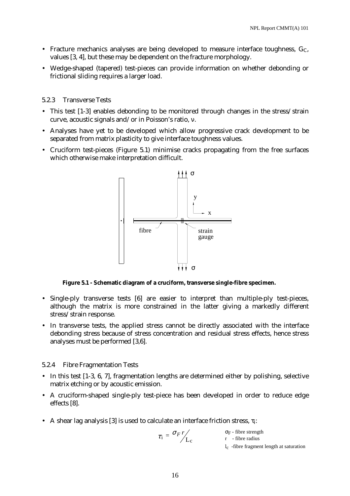- Fracture mechanics analyses are being developed to measure interface toughness,  $G_C$ , values [3, 4], but these may be dependent on the fracture morphology.
- Wedge-shaped (tapered) test-pieces can provide information on whether debonding or frictional sliding requires a larger load.

#### 5.2.3 Transverse Tests

- This test [1-3] enables debonding to be monitored through changes in the stress/strain curve, acoustic signals and/or in Poisson's ratio, ν.
- Analyses have yet to be developed which allow progressive crack development to be separated from matrix plasticity to give interface toughness values.
- Cruciform test-pieces (Figure 5.1) minimise cracks propagating from the free surfaces which otherwise make interpretation difficult.



**Figure 5.1 - Schematic diagram of a cruciform, transverse single-fibre specimen.** 

- Single-ply transverse tests [6] are easier to interpret than multiple-ply test-pieces, although the matrix is more constrained in the latter giving a markedly different stress/strain response.
- In transverse tests, the applied stress cannot be directly associated with the interface debonding stress because of stress concentration and residual stress effects, hence stress analyses must be performed [3,6].

#### 5.2.4 Fibre Fragmentation Tests

- In this test [1-3, 6, 7], fragmentation lengths are determined either by polishing, selective matrix etching or by acoustic emission.
- A cruciform-shaped single-ply test-piece has been developed in order to reduce edge effects [8].
- A shear lag analysis [3] is used to calculate an interface friction stress,  $\tau_i$ :

$$
\tau_i = \frac{\sigma_F r}{L_c}
$$
\n
$$
\sigma_F - \text{ fibre strength}
$$
\nr - fibre radius  
\nl\_c - fibre fragment length at saturation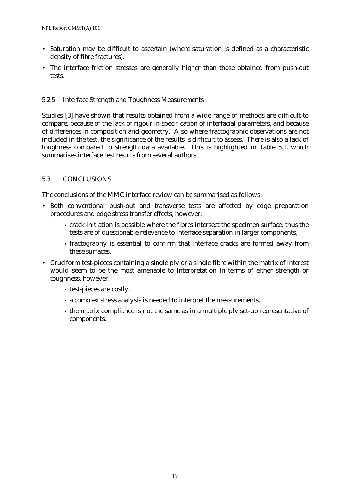- Saturation may be difficult to ascertain (where saturation is defined as a characteristic density of fibre fractures).
- The interface friction stresses are generally higher than those obtained from push-out tests.

## 5.2.5 Interface Strength and Toughness Measurements

Studies [3] have shown that results obtained from a wide range of methods are difficult to compare, because of the lack of rigour in specification of interfacial parameters, and because of differences in composition and geometry. Also where fractographic observations are not included in the test, the significance of the results is difficult to assess. There is also a lack of toughness compared to strength data available. This is highlighted in Table 5.1, which summarises interface test results from several authors.

## 5.3 CONCLUSIONS

The conclusions of the MMC interface review can be summarised as follows:

- Both conventional push-out and transverse tests are affected by edge preparation procedures and edge stress transfer effects, however:
	- crack initiation is possible where the fibres intersect the specimen surface; thus the tests are of questionable relevance to interface separation in larger components,
	- fractography is essential to confirm that interface cracks are formed away from these surfaces.
- Cruciform test-pieces containing a single ply or a single fibre within the matrix of interest would seem to be the most amenable to interpretation in terms of either strength or toughness, however:
	- test-pieces are costly,
	- a complex stress analysis is needed to interpret the measurements,
	- the matrix compliance is not the same as in a multiple ply set-up representative of components.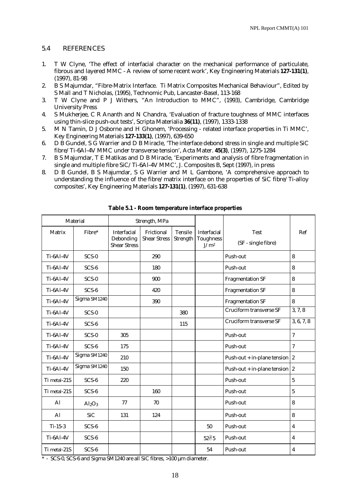#### 5.4 REFERENCES

- 1. T W Clyne, 'The effect of interfacial character on the mechanical performance of particulate, fibrous and layered MMC - A review of some recent work', Key Engineering Materials **127-131(1)**, (1997), 81-98
- 2. B S Majumdar, "Fibre-Matrix Interface. Ti Matrix Composites Mechanical Behaviour", Edited by S Mall and T Nicholas, (1995), Technomic Pub, Lancaster-Basel, 113-168
- 3. T W Clyne and P J Withers, "An Introduction to MMC", (1993), Cambridge, Cambridge University Press
- 4. S Mukherjee, C R Ananth and N Chandra, 'Evaluation of fracture toughness of MMC interfaces using thin-slice push-out tests', Scripta Materialia **36(11)**, (1997), 1333-1338
- 5. M N Tamin, D J Osborne and H Ghonem, 'Processing related interface properties in Ti MMC', Key Engineering Materials **127-133(1)**, (1997), 639-650
- 6. D B Gundel, S G Warrier and D B Miracle, 'The interface debond stress in single and multiple SiC fibre/Ti-6Al-4V MMC under transverse tension', Acta Mater. **45(3)**, (1997), 1275-1284
- 7. B S Majumdar, T E Matikas and D B Miracle, 'Experiments and analysis of fibre fragmentation in single and multiple fibre SiC/Ti-6Al-4V MMC', J. Composites B, Sept (1997), in press
- 8. D B Gundel, B S Majumdar, S G Warrier and M L Gambone, 'A comprehensive approach to understanding the influence of the fibre/matrix interface on the properties of SiC fibre/Ti-alloy composites', Key Engineering Materials **127-131(1)**, (1997), 631-638

|               | Material                       |                                                 | Strength, MPa                     |                     |                                     |                                    |                         |
|---------------|--------------------------------|-------------------------------------------------|-----------------------------------|---------------------|-------------------------------------|------------------------------------|-------------------------|
| Matrix        | Fibre*                         | Interfacial<br>Debonding<br><b>Shear Stress</b> | Frictional<br><b>Shear Stress</b> | Tensile<br>Strength | Interfacial<br>Toughness<br>$J/m^2$ | <b>Test</b><br>(SF - single fibre) | Ref                     |
| Ti-6Al-4V     | $SCS-0$                        |                                                 | 290                               |                     |                                     | Push-out                           | 8                       |
| Ti-6Al-4V     | $SCS-6$                        |                                                 | 180                               |                     |                                     | Push-out                           | $\bf 8$                 |
| Ti-6Al-4V     | $SCS-0$                        |                                                 | 900                               |                     |                                     | <b>Fragmentation SF</b>            | 8                       |
| Ti-6Al-4V     | $SCS-6$                        |                                                 | 420                               |                     |                                     | <b>Fragmentation SF</b>            | 8                       |
| Ti-6Al-4V     | Sigma SM1240                   |                                                 | 390                               |                     |                                     | <b>Fragmentation SF</b>            | $\bf 8$                 |
| Ti-6Al-4V     | $SCS-0$                        |                                                 |                                   | 380                 |                                     | <b>Cruciform transverse SF</b>     | 3, 7, 8                 |
| Ti-6Al-4V     | $SCS-6$                        |                                                 |                                   | 115                 |                                     | Cruciform transverse SF            | 3, 6, 7, 8              |
| Ti-6Al-4V     | $SCS-0$                        | 305                                             |                                   |                     |                                     | Push-out                           | $\tau$                  |
| Ti-6Al-4V     | $SCS-6$                        | 175                                             |                                   |                     |                                     | Push-out                           | $\overline{7}$          |
| Ti-6Al-4V     | Sigma SM1240                   | 210                                             |                                   |                     |                                     | Push-out + in-plane tension $ 2 $  |                         |
| Ti-6Al-4V     | Sigma SM1240                   | 150                                             |                                   |                     |                                     | Push-out + in-plane tension $ 2 $  |                         |
| Ti metal-21S  | $SCS-6$                        | 220                                             |                                   |                     |                                     | Push-out                           | $\overline{5}$          |
| Ti metal-21S  | $SCS-6$                        |                                                 | 160                               |                     |                                     | Push-out                           | $\mathbf 5$             |
| AI            | Al <sub>2</sub> O <sub>3</sub> | 77                                              | 70                                |                     |                                     | Push-out                           | 8                       |
| $\mathbf{Al}$ | <b>SiC</b>                     | 131                                             | 124                               |                     |                                     | Push-out                           | $\boldsymbol{8}$        |
| $Ti-15-3$     | $SCS-6$                        |                                                 |                                   |                     | 50                                  | Push-out                           | $\overline{\mathbf{4}}$ |
| Ti-6Al-4V     | $SCS-6$                        |                                                 |                                   |                     | 52%5                                | Push-out                           | $\overline{\mathbf{4}}$ |
| Ti metal-21S  | $SCS-6$                        |                                                 |                                   |                     | 54                                  | Push-out                           | 4                       |

**Table 5.1 - Room temperature interface properties**

\* - SCS-0, SCS-6 and Sigma SM1240 are all SiC fibres, >100 µm diameter.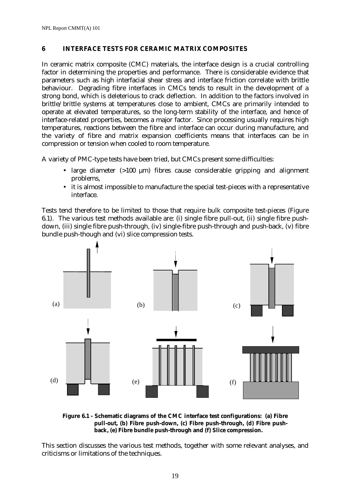#### **6 INTERFACE TESTS FOR CERAMIC MATRIX COMPOSITES**

In ceramic matrix composite (CMC) materials, the interface design is a crucial controlling factor in determining the properties and performance. There is considerable evidence that parameters such as high interfacial shear stress and interface friction correlate with brittle behaviour. Degrading fibre interfaces in CMCs tends to result in the development of a strong bond, which is deleterious to crack deflection. In addition to the factors involved in brittle/brittle systems at temperatures close to ambient, CMCs are primarily intended to operate at elevated temperatures, so the long-term stability of the interface, and hence of interface-related properties, becomes a major factor. Since processing usually requires high temperatures, reactions between the fibre and interface can occur during manufacture, and the variety of fibre and matrix expansion coefficients means that interfaces can be in compression or tension when cooled to room temperature.

A variety of PMC-type tests have been tried, but CMCs present some difficulties:

- large diameter  $(>100 \mu m)$  fibres cause considerable gripping and alignment problems,
- it is almost impossible to manufacture the special test-pieces with a representative interface.

Tests tend therefore to be limited to those that require bulk composite test-pieces (Figure 6.1). The various test methods available are: (i) single fibre pull-out, (ii) single fibre pushdown, (iii) single fibre push-through, (iv) single-fibre push-through and push-back, (v) fibre bundle push-though and (vi) slice compression tests.





This section discusses the various test methods, together with some relevant analyses, and criticisms or limitations of the techniques.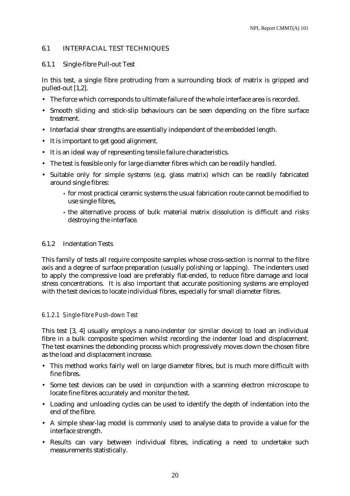## 6.1 INTERFACIAL TEST TECHNIQUES

#### 6.1.1 Single-fibre Pull-out Test

In this test, a single fibre protruding from a surrounding block of matrix is gripped and pulled-out [1,2].

- The force which corresponds to ultimate failure of the whole interface area is recorded.
- Smooth sliding and stick-slip behaviours can be seen depending on the fibre surface treatment.
- Interfacial shear strengths are essentially independent of the embedded length.
- It is important to get good alignment.
- It is an ideal way of representing tensile failure characteristics.
- The test is feasible only for large diameter fibres which can be readily handled.
- Suitable only for simple systems (e.g. glass matrix) which can be readily fabricated around single fibres:
	- for most practical ceramic systems the usual fabrication route cannot be modified to use single fibres,
	- the alternative process of bulk material matrix dissolution is difficult and risks destroying the interface.

## 6.1.2 Indentation Tests

This family of tests all require composite samples whose cross-section is normal to the fibre axis and a degree of surface preparation (usually polishing or lapping). The indenters used to apply the compressive load are preferably flat-ended, to reduce fibre damage and local stress concentrations. It is also important that accurate positioning systems are employed with the test devices to locate individual fibres, especially for small diameter fibres.

## *6.1.2.1 Single-fibre Push-down Test*

This test [3, 4] usually employs a nano-indenter (or similar device) to load an individual fibre in a bulk composite specimen whilst recording the indenter load and displacement. The test examines the debonding process which progressively moves down the chosen fibre as the load and displacement increase.

- This method works fairly well on large diameter fibres, but is much more difficult with fine fibres.
- Some test devices can be used in conjunction with a scanning electron microscope to locate fine fibres accurately and monitor the test.
- Loading and unloading cycles can be used to identify the depth of indentation into the end of the fibre.
- A simple shear-lag model is commonly used to analyse data to provide a value for the interface strength.
- Results can vary between individual fibres, indicating a need to undertake such measurements statistically.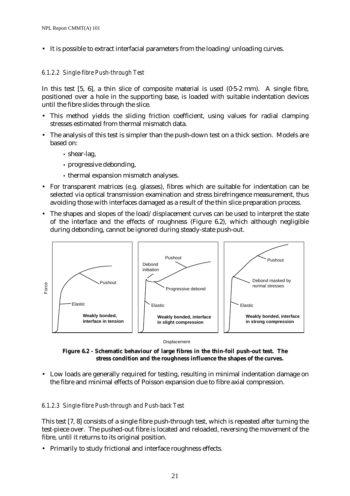• It is possible to extract interfacial parameters from the loading/unloading curves.

#### *6.1.2.2 Single-fibre Push-through Test*

In this test [5, 6], a thin slice of composite material is used (0⋅5-2 mm). A single fibre, positioned over a hole in the supporting base, is loaded with suitable indentation devices until the fibre slides through the slice.

- This method yields the sliding friction coefficient, using values for radial clamping stresses estimated from thermal mismatch data.
- The analysis of this test is simpler than the push-down test on a thick section. Models are based on:
	- shear-lag,
	- progressive debonding,
	- thermal expansion mismatch analyses.
- For transparent matrices (e.g. glasses), fibres which are suitable for indentation can be selected via optical transmission examination and stress birefringence measurement, thus avoiding those with interfaces damaged as a result of the thin slice preparation process.
- The shapes and slopes of the load/displacement curves can be used to interpret the state of the interface and the effects of roughness (Figure 6.2), which although negligible during debonding, cannot be ignored during steady-state push-out.



Displacement

**Figure 6.2 - Schematic behaviour of large fibres in the thin-foil push-out test. The stress condition and the roughness influence the shapes of the curves.** 

• Low loads are generally required for testing, resulting in minimal indentation damage on the fibre and minimal effects of Poisson expansion due to fibre axial compression.

#### *6.1.2.3 Single-fibre Push-through and Push-back Test*

This test [7, 8] consists of a single fibre push-through test, which is repeated after turning the test-piece over. The pushed-out fibre is located and reloaded, reversing the movement of the fibre, until it returns to its original position.

• Primarily to study frictional and interface roughness effects.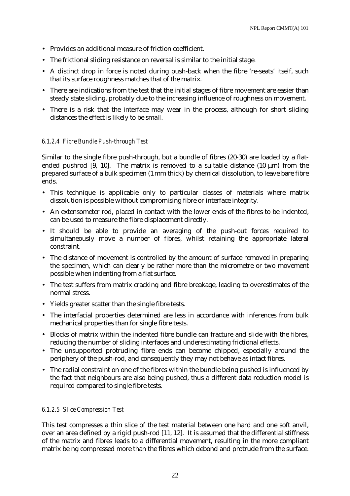- Provides an additional measure of friction coefficient.
- The frictional sliding resistance on reversal is similar to the initial stage.
- A distinct drop in force is noted during push-back when the fibre 're-seats' itself, such that its surface roughness matches that of the matrix.
- There are indications from the test that the initial stages of fibre movement are easier than steady state sliding, probably due to the increasing influence of roughness on movement.
- There is a risk that the interface may wear in the process, although for short sliding distances the effect is likely to be small.

## *6.1.2.4 Fibre Bundle Push-through Test*

Similar to the single fibre push-through, but a bundle of fibres (20-30) are loaded by a flatended pushrod  $[9, 10]$ . The matrix is removed to a suitable distance  $(10 \mu m)$  from the prepared surface of a bulk specimen (1 mm thick) by chemical dissolution, to leave bare fibre ends.

- This technique is applicable only to particular classes of materials where matrix dissolution is possible without compromising fibre or interface integrity.
- An extensometer rod, placed in contact with the lower ends of the fibres to be indented, can be used to measure the fibre displacement directly.
- It should be able to provide an averaging of the push-out forces required to simultaneously move a number of fibres, whilst retaining the appropriate lateral constraint.
- The distance of movement is controlled by the amount of surface removed in preparing the specimen, which can clearly be rather more than the micrometre or two movement possible when indenting from a flat surface.
- The test suffers from matrix cracking and fibre breakage, leading to overestimates of the normal stress.
- Yields greater scatter than the single fibre tests.
- The interfacial properties determined are less in accordance with inferences from bulk mechanical properties than for single fibre tests.
- Blocks of matrix within the indented fibre bundle can fracture and slide with the fibres, reducing the number of sliding interfaces and underestimating frictional effects.
- The unsupported protruding fibre ends can become chipped, especially around the periphery of the push-rod, and consequently they may not behave as intact fibres.
- The radial constraint on one of the fibres within the bundle being pushed is influenced by the fact that neighbours are also being pushed, thus a different data reduction model is required compared to single fibre tests.

#### *6.1.2.5 Slice Compression Test*

This test compresses a thin slice of the test material between one hard and one soft anvil, over an area defined by a rigid push-rod [11, 12]. It is assumed that the differential stiffness of the matrix and fibres leads to a differential movement, resulting in the more compliant matrix being compressed more than the fibres which debond and protrude from the surface.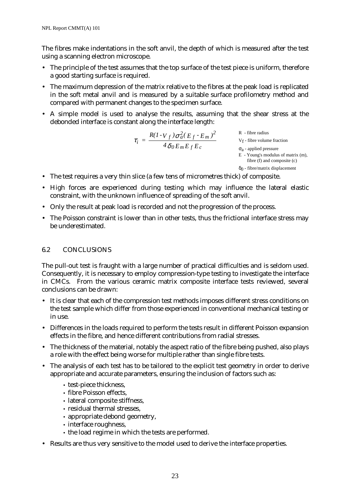The fibres make indentations in the soft anvil, the depth of which is measured after the test using a scanning electron microscope.

- The principle of the test assumes that the top surface of the test piece is uniform, therefore a good starting surface is required.
- The maximum depression of the matrix relative to the fibres at the peak load is replicated in the soft metal anvil and is measured by a suitable surface profilometry method and compared with permanent changes to the specimen surface.
- A simple model is used to analyse the results, assuming that the shear stress at the debonded interface is constant along the interface length:

$$
\tau_i = \frac{R(I - V_f)\sigma_a^2(E_f - E_m)^2}{4\delta_0 E_m E_f E_c}
$$
\n
$$
= \frac{R - \text{ fibre radius}}{\sigma_a - \text{ applied pressure}}
$$
\n
$$
= -\text{Young's modulus of matrix (m),}
$$
\n
$$
\text{fibre (f) and composite (c)}
$$

δ0 - fibre/matrix displacement

- The test requires a very thin slice (a few tens of micrometres thick) of composite.
- High forces are experienced during testing which may influence the lateral elastic constraint, with the unknown influence of spreading of the soft anvil.
- Only the result at peak load is recorded and not the progression of the process.
- The Poisson constraint is lower than in other tests, thus the frictional interface stress may be underestimated.

#### 6.2 CONCLUSIONS

The pull-out test is fraught with a large number of practical difficulties and is seldom used. Consequently, it is necessary to employ compression-type testing to investigate the interface in CMCs. From the various ceramic matrix composite interface tests reviewed, several conclusions can be drawn:

- It is clear that each of the compression test methods imposes different stress conditions on the test sample which differ from those experienced in conventional mechanical testing or in use.
- Differences in the loads required to perform the tests result in different Poisson expansion effects in the fibre, and hence different contributions from radial stresses.
- The thickness of the material, notably the aspect ratio of the fibre being pushed, also plays a role with the effect being worse for multiple rather than single fibre tests.
- The analysis of each test has to be tailored to the explicit test geometry in order to derive appropriate and accurate parameters, ensuring the inclusion of factors such as:
	- test-piece thickness,
	- fibre Poisson effects,
	- lateral composite stiffness.
	- residual thermal stresses,
	- appropriate debond geometry,
	- interface roughness,
	- the load regime in which the tests are performed.
- Results are thus very sensitive to the model used to derive the interface properties.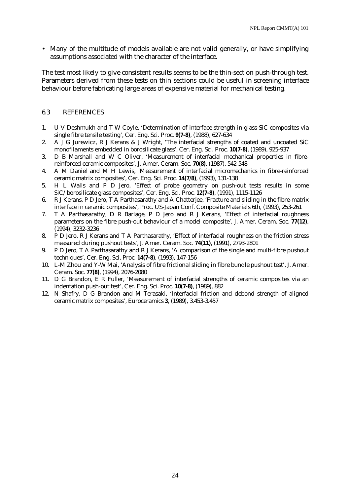• Many of the multitude of models available are not valid generally, or have simplifying assumptions associated with the character of the interface.

The test most likely to give consistent results seems to be the thin-section push-through test. Parameters derived from these tests on thin sections could be useful in screening interface behaviour before fabricating large areas of expensive material for mechanical testing.

#### 6.3 REFERENCES

- 1. U V Deshmukh and T W Coyle, 'Determination of interface strength in glass-SiC composites via single fibre tensile testing', Cer. Eng. Sci. Proc. **9(7-8)**, (1988), 627-634
- 2. A J G Jurewicz, R J Kerans & J Wright, 'The interfacial strengths of coated and uncoated SiC monofilaments embedded in borosilicate glass', Cer. Eng. Sci. Proc*.* **10(7-8)**, (1989), 925-937
- 3. D B Marshall and W C Oliver, 'Measurement of interfacial mechanical properties in fibrereinforced ceramic composites', J. Amer. Ceram. Soc*.* **70(8)**, (1987), 542-548
- 4. A M Daniel and M H Lewis, 'Measurement of interfacial micromechanics in fibre-reinforced ceramic matrix composites', Cer. Eng. Sci. Proc*.* **14(7/8)**, (1993), 131-138
- 5. H L Walls and P D Jero, 'Effect of probe geometry on push-out tests results in some SiC/borosilicate glass composites', Cer. Eng. Sci. Proc*.* **12(7-8)**, (1991), 1115-1126
- 6. R J Kerans, P D Jero, T A Parthasarathy and A Chatterjee, 'Fracture and sliding in the fibre-matrix interface in ceramic composites', Proc. US-Japan Conf. Composite Materials 6th*,* (1993), 253-261
- 7. T A Parthasarathy, D R Barlage, P D Jero and R J Kerans, 'Effect of interfacial roughness parameters on the fibre push-out behaviour of a model composite', J. Amer. Ceram. Soc. **77(12)**, (1994), 3232-3236
- 8. P D Jero, R J Kerans and T A Parthasarathy, 'Effect of interfacial roughness on the friction stress measured during pushout tests', J. Amer. Ceram. Soc*.* **74(11)**, (1991), 2793-2801
- 9. P D Jero, T A Parthasarathy and R J Kerans, 'A comparison of the single and multi-fibre pushout techniques', Cer. Eng. Sci. Proc*.* **14(7-8)**, (1993), 147-156
- 10. L-M Zhou and Y-W Mai, 'Analysis of fibre frictional sliding in fibre bundle pushout test', J. Amer. Ceram. Soc. **77(8)**, (1994), 2076-2080
- 11. D G Brandon, E R Fuller, 'Measurement of interfacial strengths of ceramic composites via an indentation push-out test', Cer. Eng. Sci. Proc*.* **10(7-8)**, (1989), 882
- 12. N Shafry, D G Brandon and M Terasaki, 'Interfacial friction and debond strength of aligned ceramic matrix composites', Euroceramics **3**, (1989), 3.453-3.457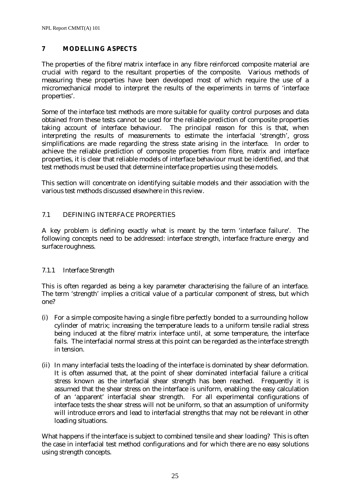## **7 MODELLING ASPECTS**

The properties of the fibre/matrix interface in any fibre reinforced composite material are crucial with regard to the resultant properties of the composite. Various methods of measuring these properties have been developed most of which require the use of a micromechanical model to interpret the results of the experiments in terms of 'interface properties'.

Some of the interface test methods are more suitable for quality control purposes and data obtained from these tests cannot be used for the reliable prediction of composite properties taking account of interface behaviour. The principal reason for this is that, when interpreting the results of measurements to estimate the interfacial 'strength', gross simplifications are made regarding the stress state arising in the interface. In order to achieve the reliable prediction of composite properties from fibre, matrix and interface properties, it is clear that reliable models of interface behaviour must be identified, and that test methods must be used that determine interface properties using these models.

This section will concentrate on identifying suitable models and their association with the various test methods discussed elsewhere in this review.

#### 7.1 DEFINING INTERFACE PROPERTIES

A key problem is defining exactly what is meant by the term 'interface failure'. The following concepts need to be addressed: interface strength, interface fracture energy and surface roughness.

#### 7.1.1 Interface Strength

This is often regarded as being a key parameter characterising the failure of an interface. The term 'strength' implies a critical value of a particular component of stress, but which one?

- (i) For a simple composite having a single fibre perfectly bonded to a surrounding hollow cylinder of matrix; increasing the temperature leads to a uniform tensile radial stress being induced at the fibre/matrix interface until, at some temperature, the interface fails. The interfacial normal stress at this point can be regarded as the interface strength in tension.
- (ii) In many interfacial tests the loading of the interface is dominated by shear deformation. It is often assumed that, at the point of shear dominated interfacial failure a critical stress known as the interfacial shear strength has been reached. Frequently it is assumed that the shear stress on the interface is uniform, enabling the easy calculation of an 'apparent' interfacial shear strength. For all experimental configurations of interface tests the shear stress will not be uniform, so that an assumption of uniformity will introduce errors and lead to interfacial strengths that may not be relevant in other loading situations.

What happens if the interface is subject to combined tensile and shear loading? This is often the case in interfacial test method configurations and for which there are no easy solutions using strength concepts.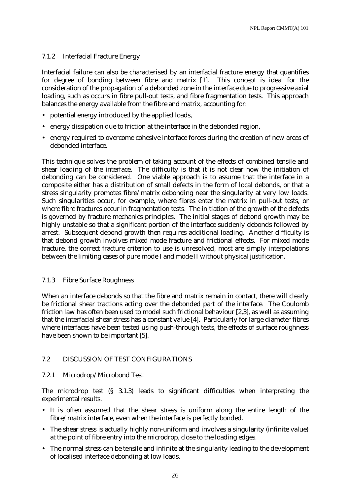## 7.1.2 Interfacial Fracture Energy

Interfacial failure can also be characterised by an interfacial fracture energy that quantifies for degree of bonding between fibre and matrix [1]. This concept is ideal for the consideration of the propagation of a debonded zone in the interface due to progressive axial loading, such as occurs in fibre pull-out tests, and fibre fragmentation tests. This approach balances the energy available from the fibre and matrix, accounting for:

- potential energy introduced by the applied loads,
- energy dissipation due to friction at the interface in the debonded region,
- energy required to overcome cohesive interface forces during the creation of new areas of debonded interface.

This technique solves the problem of taking account of the effects of combined tensile and shear loading of the interface. The difficulty is that it is not clear how the initiation of debonding can be considered. One viable approach is to assume that the interface in a composite either has a distribution of small defects in the form of local debonds, or that a stress singularity promotes fibre/matrix debonding near the singularity at very low loads. Such singularities occur, for example, where fibres enter the matrix in pull-out tests, or where fibre fractures occur in fragmentation tests. The initiation of the growth of the defects is governed by fracture mechanics principles. The initial stages of debond growth may be highly unstable so that a significant portion of the interface suddenly debonds followed by arrest. Subsequent debond growth then requires additional loading. Another difficulty is that debond growth involves mixed mode fracture and frictional effects. For mixed mode fracture, the correct fracture criterion to use is unresolved, most are simply interpolations between the limiting cases of pure mode I and mode II without physical justification.

#### 7.1.3 Fibre Surface Roughness

When an interface debonds so that the fibre and matrix remain in contact, there will clearly be frictional shear tractions acting over the debonded part of the interface. The Coulomb friction law has often been used to model such frictional behaviour [2,3], as well as assuming that the interfacial shear stress has a constant value [4]. Particularly for large diameter fibres where interfaces have been tested using push-through tests, the effects of surface roughness have been shown to be important [5].

#### 7.2 DISCUSSION OF TEST CONFIGURATIONS

#### 7.2.1 Microdrop/Microbond Test

The microdrop test (§ 3.1.3) leads to significant difficulties when interpreting the experimental results.

- It is often assumed that the shear stress is uniform along the entire length of the fibre/matrix interface, even when the interface is perfectly bonded.
- The shear stress is actually highly non-uniform and involves a singularity (infinite value) at the point of fibre entry into the microdrop, close to the loading edges.
- The normal stress can be tensile and infinite at the singularity leading to the development of localised interface debonding at low loads.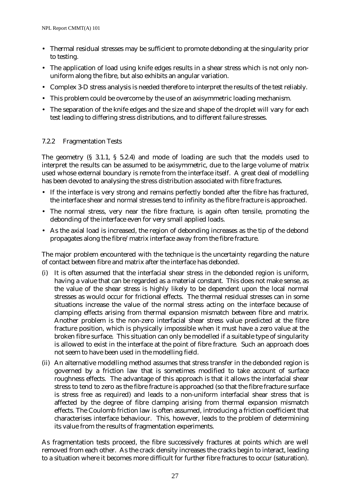- Thermal residual stresses may be sufficient to promote debonding at the singularity prior to testing.
- The application of load using knife edges results in a shear stress which is not only nonuniform along the fibre, but also exhibits an angular variation.
- Complex 3-D stress analysis is needed therefore to interpret the results of the test reliably.
- This problem could be overcome by the use of an axisymmetric loading mechanism.
- The separation of the knife edges and the size and shape of the droplet will vary for each test leading to differing stress distributions, and to different failure stresses.

#### 7.2.2 Fragmentation Tests

The geometry (§ 3.1.1, § 5.2.4) and mode of loading are such that the models used to interpret the results can be assumed to be axisymmetric, due to the large volume of matrix used whose external boundary is remote from the interface itself. A great deal of modelling has been devoted to analysing the stress distribution associated with fibre fractures.

- If the interface is very strong and remains perfectly bonded after the fibre has fractured, the interface shear and normal stresses tend to infinity as the fibre fracture is approached.
- The normal stress, very near the fibre fracture, is again often tensile, promoting the debonding of the interface even for very small applied loads.
- As the axial load is increased, the region of debonding increases as the tip of the debond propagates along the fibre/matrix interface away from the fibre fracture.

The major problem encountered with the technique is the uncertainty regarding the nature of contact between fibre and matrix after the interface has debonded.

- It is often assumed that the interfacial shear stress in the debonded region is uniform, having a value that can be regarded as a material constant. This does not make sense, as the value of the shear stress is highly likely to be dependent upon the local normal stresses as would occur for frictional effects. The thermal residual stresses can in some situations increase the value of the normal stress acting on the interface because of clamping effects arising from thermal expansion mismatch between fibre and matrix. Another problem is the non-zero interfacial shear stress value predicted at the fibre fracture position, which is physically impossible when it must have a zero value at the broken fibre surface. This situation can only be modelled if a suitable type of singularity is allowed to exist in the interface at the point of fibre fracture. Such an approach does not seem to have been used in the modelling field.
- (ii) An alternative modelling method assumes that stress transfer in the debonded region is governed by a friction law that is sometimes modified to take account of surface roughness effects. The advantage of this approach is that it allows the interfacial shear stress to tend to zero as the fibre fracture is approached (so that the fibre fracture surface is stress free as required) and leads to a non-uniform interfacial shear stress that is affected by the degree of fibre clamping arising from thermal expansion mismatch effects. The Coulomb friction law is often assumed, introducing a friction coefficient that characterises interface behaviour. This, however, leads to the problem of determining its value from the results of fragmentation experiments.

As fragmentation tests proceed, the fibre successively fractures at points which are well removed from each other. As the crack density increases the cracks begin to interact, leading to a situation where it becomes more difficult for further fibre fractures to occur (saturation).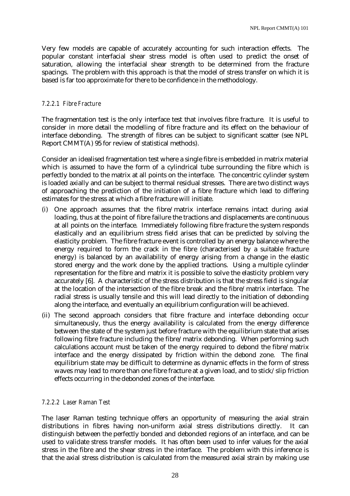Very few models are capable of accurately accounting for such interaction effects. The popular constant interfacial shear stress model is often used to predict the onset of saturation, allowing the interfacial shear strength to be determined from the fracture spacings. The problem with this approach is that the model of stress transfer on which it is based is far too approximate for there to be confidence in the methodology.

## *7.2.2.1 Fibre Fracture*

The fragmentation test is the only interface test that involves fibre fracture. It is useful to consider in more detail the modelling of fibre fracture and its effect on the behaviour of interface debonding. The strength of fibres can be subject to significant scatter (see NPL Report CMMT(A) 95 for review of statistical methods).

Consider an idealised fragmentation test where a single fibre is embedded in matrix material which is assumed to have the form of a cylindrical tube surrounding the fibre which is perfectly bonded to the matrix at all points on the interface. The concentric cylinder system is loaded axially and can be subject to thermal residual stresses. There are two distinct ways of approaching the prediction of the initiation of a fibre fracture which lead to differing estimates for the stress at which a fibre fracture will initiate.

- (i) One approach assumes that the fibre/matrix interface remains intact during axial loading, thus at the point of fibre failure the tractions and displacements are continuous at all points on the interface. Immediately following fibre fracture the system responds elastically and an equilibrium stress field arises that can be predicted by solving the elasticity problem. The fibre fracture event is controlled by an energy balance where the energy required to form the crack in the fibre (characterised by a suitable fracture energy) is balanced by an availability of energy arising from a change in the elastic stored energy and the work done by the applied tractions. Using a multiple cylinder representation for the fibre and matrix it is possible to solve the elasticity problem very accurately [6]. A characteristic of the stress distribution is that the stress field is singular at the location of the intersection of the fibre break and the fibre/matrix interface. The radial stress is usually tensile and this will lead directly to the initiation of debonding along the interface, and eventually an equilibrium configuration will be achieved.
- (ii) The second approach considers that fibre fracture and interface debonding occur simultaneously, thus the energy availability is calculated from the energy difference between the state of the system just before fracture with the equilibrium state that arises following fibre fracture including the fibre/matrix debonding. When performing such calculations account must be taken of the energy required to debond the fibre/matrix interface and the energy dissipated by friction within the debond zone. The final equilibrium state may be difficult to determine as dynamic effects in the form of stress waves may lead to more than one fibre fracture at a given load, and to stick/slip friction effects occurring in the debonded zones of the interface.

#### *7.2.2.2 Laser Raman Test*

The laser Raman testing technique offers an opportunity of measuring the axial strain distributions in fibres having non-uniform axial stress distributions directly. It can distinguish between the perfectly bonded and debonded regions of an interface, and can be used to validate stress transfer models. It has often been used to infer values for the axial stress in the fibre and the shear stress in the interface. The problem with this inference is that the axial stress distribution is calculated from the measured axial strain by making use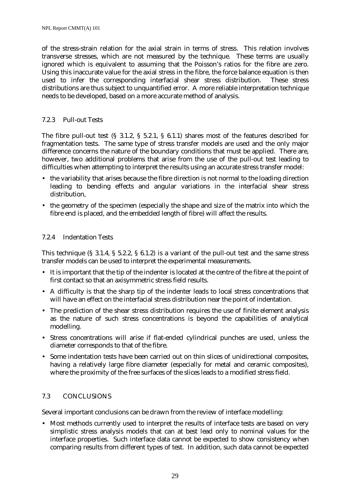of the stress-strain relation for the axial strain in terms of stress. This relation involves transverse stresses, which are not measured by the technique. These terms are usually ignored which is equivalent to assuming that the Poisson's ratios for the fibre are zero. Using this inaccurate value for the axial stress in the fibre, the force balance equation is then used to infer the corresponding interfacial shear stress distribution. These stress distributions are thus subject to unquantified error. A more reliable interpretation technique needs to be developed, based on a more accurate method of analysis.

#### 7.2.3 Pull-out Tests

The fibre pull-out test (§ 3.1.2, § 5.2.1, § 6.1.1) shares most of the features described for fragmentation tests. The same type of stress transfer models are used and the only major difference concerns the nature of the boundary conditions that must be applied. There are, however, two additional problems that arise from the use of the pull-out test leading to difficulties when attempting to interpret the results using an accurate stress transfer model:

- the variability that arises because the fibre direction is not normal to the loading direction leading to bending effects and angular variations in the interfacial shear stress distribution,
- the geometry of the specimen (especially the shape and size of the matrix into which the fibre end is placed, and the embedded length of fibre) will affect the results.

#### 7.2.4 Indentation Tests

This technique (§ 3.1.4, § 5.2.2, § 6.1.2) is a variant of the pull-out test and the same stress transfer models can be used to interpret the experimental measurements.

- It is important that the tip of the indenter is located at the centre of the fibre at the point of first contact so that an axisymmetric stress field results.
- A difficulty is that the sharp tip of the indenter leads to local stress concentrations that will have an effect on the interfacial stress distribution near the point of indentation.
- The prediction of the shear stress distribution requires the use of finite element analysis as the nature of such stress concentrations is beyond the capabilities of analytical modelling.
- Stress concentrations will arise if flat-ended cylindrical punches are used, unless the diameter corresponds to that of the fibre.
- Some indentation tests have been carried out on thin slices of unidirectional composites, having a relatively large fibre diameter (especially for metal and ceramic composites), where the proximity of the free surfaces of the slices leads to a modified stress field.

#### 7.3 CONCLUSIONS

Several important conclusions can be drawn from the review of interface modelling:

• Most methods currently used to interpret the results of interface tests are based on very simplistic stress analysis models that can at best lead only to nominal values for the interface properties. Such interface data cannot be expected to show consistency when comparing results from different types of test. In addition, such data cannot be expected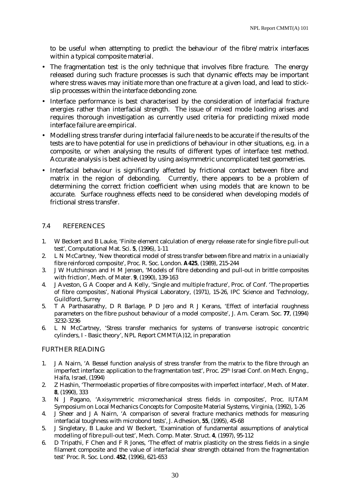to be useful when attempting to predict the behaviour of the fibre/matrix interfaces within a typical composite material.

- The fragmentation test is the only technique that involves fibre fracture. The energy released during such fracture processes is such that dynamic effects may be important where stress waves may initiate more than one fracture at a given load, and lead to stickslip processes within the interface debonding zone.
- Interface performance is best characterised by the consideration of interfacial fracture energies rather than interfacial strength. The issue of mixed mode loading arises and requires thorough investigation as currently used criteria for predicting mixed mode interface failure are empirical.
- Modelling stress transfer during interfacial failure needs to be accurate if the results of the tests are to have potential for use in predictions of behaviour in other situations, e.g. in a composite, or when analysing the results of different types of interface test method. Accurate analysis is best achieved by using axisymmetric uncomplicated test geometries.
- Interfacial behaviour is significantly affected by frictional contact between fibre and matrix in the region of debonding. Currently, there appears to be a problem of determining the correct friction coefficient when using models that are known to be accurate. Surface roughness effects need to be considered when developing models of frictional stress transfer.

## 7.4 REFERENCES

- 1. W Beckert and B Lauke, 'Finite element calculation of energy release rate for single fibre pull-out test', Computational Mat. Sci. **5**, (1996), 1-11
- 2. L N McCartney, 'New theoretical model of stress transfer between fibre and matrix in a uniaxially fibre reinforced composite', Proc. R. Soc. London. **A425**, (1989), 215-244
- 3. J W Hutchinson and H M Jensen, 'Models of fibre debonding and pull-out in brittle composites with friction', Mech. of Mater. **9**, (1990), 139-163
- 4. J Aveston, G A Cooper and A Kelly, 'Single and multiple fracture', Proc. of Conf. 'The properties of fibre composites', National Physical Laboratory, (1971), 15-26, IPC Science and Technology, Guildford, Surrey
- 5. T A Parthasarathy, D R Barlage, P D Jero and R J Kerans, 'Effect of interfacial roughness parameters on the fibre pushout behaviour of a model composite', J. Am. Ceram. Soc. **77**, (1994) 3232-3236
- 6. L N McCartney, 'Stress transfer mechanics for systems of transverse isotropic concentric cylinders, I - Basic theory', NPL Report CMMT(A)12, in preparation

#### FURTHER READING

- 1. J A Nairn, 'A Bessel function analysis of stress transfer from the matrix to the fibre through an imperfect interface: application to the fragmentation test', Proc. 25<sup>th</sup> Israel Conf. on Mech. Engng., Haifa, Israel, (1994)
- 2. Z Hashin, 'Thermoelastic properties of fibre composites with imperfect interface', Mech. of Mater. **8**, (1990), 333
- 3. N J Pagano, 'Axisymmetric micromechanical stress fields in composites', Proc. IUTAM Symposium on Local Mechanics Concepts for Composite Material Systems, Virginia, (1992), 1-26
- 4. J Sheer and J A Nairn, 'A comparison of several fracture mechanics methods for measuring interfacial toughness with microbond tests', J. Adhesion, **55**, (1995), 45-68
- 5. J Singletary, B Lauke and W Beckert, 'Examination of fundamental assumptions of analytical modelling of fibre pull-out test', Mech. Comp. Mater. Struct. **4**, (1997), 95-112
- 6. D Tripathi, F Chen and F R Jones, 'The effect of matrix plasticity on the stress fields in a single filament composite and the value of interfacial shear strength obtained from the fragmentation test' Proc. R. Soc. Lond. **452**, (1996), 621-653